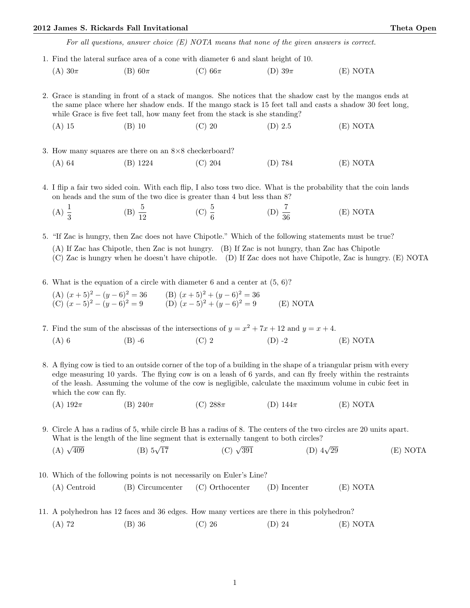## 2012 James S. Rickards Fall Invitational Theta Open

For all questions, answer choice (E) NOTA means that none of the given answers is correct.

- 1. Find the lateral surface area of a cone with diameter 6 and slant height of 10.
	- (A)  $30\pi$  (B)  $60\pi$  (C)  $66\pi$  (D)  $39\pi$  (E) NOTA

2. Grace is standing in front of a stack of mangos. She notices that the shadow cast by the mangos ends at the same place where her shadow ends. If the mango stack is 15 feet tall and casts a shadow 30 feet long, while Grace is five feet tall, how many feet from the stack is she standing?

(A) 15 (B) 10 (C) 20 (D) 2.5 (E) NOTA

- 3. How many squares are there on an 8×8 checkerboard? (A) 64 (B) 1224 (C) 204 (D) 784 (E) NOTA
- 4. I flip a fair two sided coin. With each flip, I also toss two dice. What is the probability that the coin lands on heads and the sum of the two dice is greater than 4 but less than 8?
	- (A)  $\frac{1}{3}$ (B)  $\frac{5}{12}$  (C)  $\frac{5}{6}$ (D)  $\frac{7}{36}$ (E) NOTA

5. "If Zac is hungry, then Zac does not have Chipotle." Which of the following statements must be true? (A) If Zac has Chipotle, then Zac is not hungry. (B) If Zac is not hungry, than Zac has Chipotle (C) Zac is hungry when he doesn't have chipotle. (D) If Zac does not have Chipotle, Zac is hungry. (E) NOTA

- 6. What is the equation of a circle with diameter 6 and a center at  $(5, 6)$ ?
	- (A)  $(x+5)^2 (y-6)^2 = 36$  (B)  $(x+5)^2 + (y-6)^2 = 36$ (C)  $(x-5)^2 - (y-6)^2 = 9$  (D)  $(x-5)^2 + (y-6)^2 = 9$  (E) NOTA

7. Find the sum of the abscissas of the intersections of  $y = x^2 + 7x + 12$  and  $y = x + 4$ . (A) 6 (B) -6 (C) 2 (D) -2 (E) NOTA

8. A flying cow is tied to an outside corner of the top of a building in the shape of a triangular prism with every edge measuring 10 yards. The flying cow is on a leash of 6 yards, and can fly freely within the restraints of the leash. Assuming the volume of the cow is negligible, calculate the maximum volume in cubic feet in which the cow can fly.

(A)  $192\pi$  (B)  $240\pi$  (C)  $288\pi$  (D)  $144\pi$  (E) NOTA

9. Circle A has a radius of 5, while circle B has a radius of 8. The centers of the two circles are 20 units apart. What is the length of the line segment that is externally tangent to both circles?

(A)  $\sqrt{409}$ (B)  $5\sqrt{17}$ (C)  $\sqrt{391}$ (D)  $4\sqrt{29}$  $(E) NOTA$ 

10. Which of the following points is not necessarily on Euler's Line? (A) Centroid (B) Circumcenter (C) Orthocenter (D) Incenter (E) NOTA

- 11. A polyhedron has 12 faces and 36 edges. How many vertices are there in this polyhedron?
	- (A) 72 (B) 36 (C) 26 (D) 24 (E) NOTA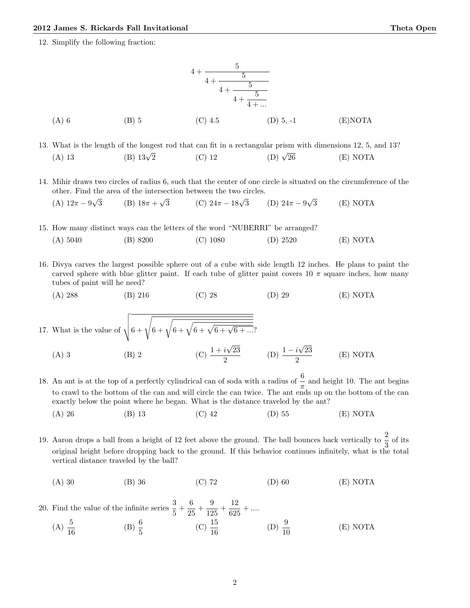12. Simplify the following fraction:



13. What is the length of the longest rod that can fit in a rectangular prism with dimensions 12, 5, and 13? (A) 13 (B)  $13\sqrt{2}$  $\overline{2}$  (C) 12 (D)  $\sqrt{ }$  $(D)$   $\sqrt{26}$   $(E)$  NOTA

14. Mihir draws two circles of radius 6, such that the center of one circle is situated on the circumference of the other. Find the area of the intersection between the two circles. √ √ √

- (A)  $12\pi 9$ 3 (B)  $18\pi +$ (C)  $24\pi - 18\sqrt{3}$ 3 (D)  $24\pi - 9$ 3 (E) NOTA
- 15. How many distinct ways can the letters of the word "NUBERRI" be arranged? (A) 5040 (B) 8200 (C) 1080 (D) 2520 (E) NOTA
- 16. Divya carves the largest possible sphere out of a cube with side length 12 inches. He plans to paint the carved sphere with blue glitter paint. If each tube of glitter paint covers 10  $\pi$  square inches, how many tubes of paint will he need?

(A) 288 (B) 216 (C) 28 (D) 29 (E) NOTA

17. What is the value of  $\sqrt{6 + \sqrt{6 + \sqrt{6 + \sqrt{6 + \sqrt{6 + \dots}}}}}$ √

- (A) 3 (B) 2 (C)  $\frac{1+i}{2}$ 23  $\frac{i\sqrt{23}}{2}$  (D)  $\frac{1-i}{2}$ √ 23 2 (E) NOTA
- 18. An ant is at the top of a perfectly cylindrical can of soda with a radius of  $\frac{6}{\pi}$  and height 10. The ant begins to crawl to the bottom of the can and will circle the can twice. The ant ends up on the bottom of the can exactly below the point where he began. What is the distance traveled by the ant?
	- (A) 26 (B) 13 (C) 42 (D) 55 (E) NOTA
- 19. Aaron drops a ball from a height of 12 feet above the ground. The ball bounces back vertically to  $\frac{2}{3}$  of its original height before dropping back to the ground. If this behavior continues infinitely, what is the total vertical distance traveled by the ball?
	- (A) 30 (B) 36 (C) 72 (D) 60 (E) NOTA

20. Find the value of the infinite series  $\frac{3}{5} + \frac{6}{25}$  $\frac{6}{25} + \frac{9}{12}$  $\frac{9}{125} + \frac{12}{625}$  $\frac{12}{625} + ...$ (A)  $\frac{5}{16}$ (B)  $\frac{6}{5}$ (C)  $\frac{15}{16}$ (D)  $\frac{9}{10}$ (E) NOTA